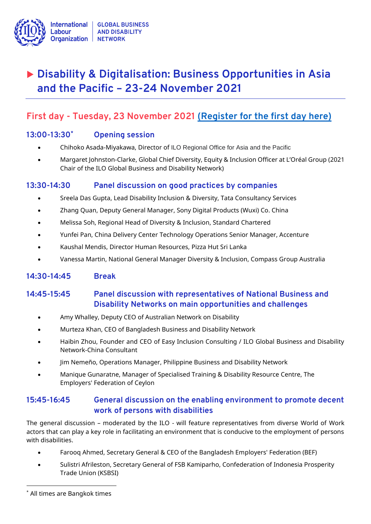

# **Disability & Digitalisation: Business Opportunities in Asia and the Pacific – 23-24 November 2021**

# **First day - Tuesday, 23 November 2021 [\(Register for the first day here\)](https://ilo-org.zoom.us/webinar/register/WN_JKSSiirbR8ibJMkl99lHuw)**

#### **13:00-13:30\* Opening session**

- Chihoko Asada-Miyakawa, Director of ILO Regional Office for Asia and the Pacific
- Margaret Johnston-Clarke, Global Chief Diversity, Equity & Inclusion Officer at L'Oréal Group (2021 Chair of the ILO Global Business and Disability Network)

### **13:30-14:30 Panel discussion on good practices by companies**

- Sreela Das Gupta, Lead Disability Inclusion & Diversity, Tata Consultancy Services
- Zhang Quan, Deputy General Manager, Sony Digital Products (Wuxi) Co. China
- Melissa Soh, Regional Head of Diversity & Inclusion, Standard Chartered
- Yunfei Pan, China Delivery Center Technology Operations Senior Manager, Accenture
- Kaushal Mendis, Director Human Resources, Pizza Hut Sri Lanka
- Vanessa Martin, National General Manager Diversity & Inclusion, Compass Group Australia

### **14:30-14:45 Break**

### **14:45-15:45 Panel discussion with representatives of National Business and Disability Networks on main opportunities and challenges**

- Amy Whalley, Deputy CEO of Australian Network on Disability
- Murteza Khan, CEO of Bangladesh Business and Disability Network
- Haibin Zhou, Founder and CEO of Easy Inclusion Consulting / ILO Global Business and Disability Network-China Consultant
- Jim Nemeño, Operations Manager, Philippine Business and Disability Network
- Manique Gunaratne, Manager of Specialised Training & Disability Resource Centre, The Employers' Federation of Ceylon

### **15:45-16:45 General discussion on the enabling environment to promote decent work of persons with disabilities**

The general discussion – moderated by the ILO - will feature representatives from diverse World of Work actors that can play a key role in facilitating an environment that is conducive to the employment of persons with disabilities.

- Farooq Ahmed, Secretary General & CEO of the Bangladesh Employers' Federation (BEF)
- Sulistri Afrileston, Secretary General of FSB Kamiparho, Confederation of Indonesia Prosperity Trade Union (KSBSI)

<sup>\*</sup> All times are Bangkok times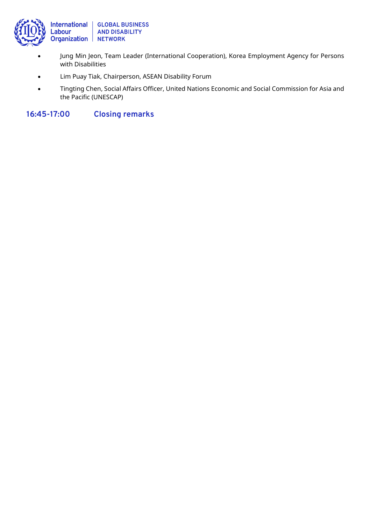

- Jung Min Jeon, Team Leader (International Cooperation), Korea Employment Agency for Persons with Disabilities
- Lim Puay Tiak, Chairperson, ASEAN Disability Forum
- Tingting Chen, Social Affairs Officer, United Nations Economic and Social Commission for Asia and the Pacific (UNESCAP)

**16:45-17:00 Closing remarks**